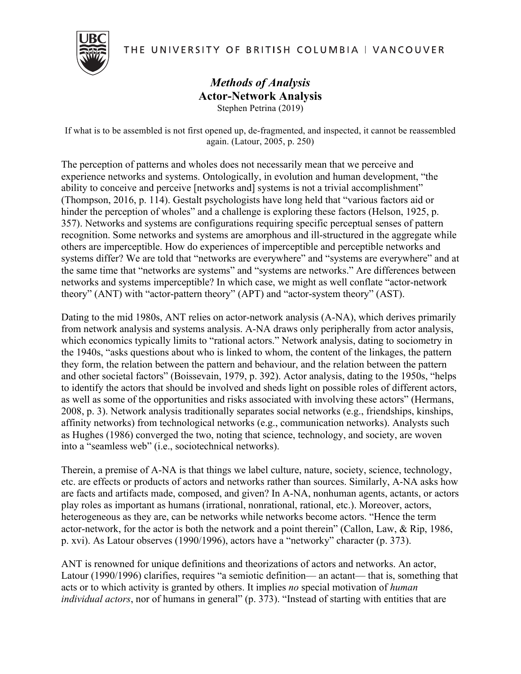

THE UNIVERSITY OF BRITISH COLUMBIA | VANCOUVER

## *Methods of Analysis* **Actor-Network Analysis** Stephen Petrina (2019)

If what is to be assembled is not first opened up, de-fragmented, and inspected, it cannot be reassembled again. (Latour, 2005, p. 250)

The perception of patterns and wholes does not necessarily mean that we perceive and experience networks and systems. Ontologically, in evolution and human development, "the ability to conceive and perceive [networks and] systems is not a trivial accomplishment" (Thompson, 2016, p. 114). Gestalt psychologists have long held that "various factors aid or hinder the perception of wholes" and a challenge is exploring these factors (Helson, 1925, p. 357). Networks and systems are configurations requiring specific perceptual senses of pattern recognition. Some networks and systems are amorphous and ill-structured in the aggregate while others are imperceptible. How do experiences of imperceptible and perceptible networks and systems differ? We are told that "networks are everywhere" and "systems are everywhere" and at the same time that "networks are systems" and "systems are networks." Are differences between networks and systems imperceptible? In which case, we might as well conflate "actor-network theory" (ANT) with "actor-pattern theory" (APT) and "actor-system theory" (AST).

Dating to the mid 1980s, ANT relies on actor-network analysis (A-NA), which derives primarily from network analysis and systems analysis. A-NA draws only peripherally from actor analysis, which economics typically limits to "rational actors." Network analysis, dating to sociometry in the 1940s, "asks questions about who is linked to whom, the content of the linkages, the pattern they form, the relation between the pattern and behaviour, and the relation between the pattern and other societal factors" (Boissevain, 1979, p. 392). Actor analysis, dating to the 1950s, "helps to identify the actors that should be involved and sheds light on possible roles of different actors, as well as some of the opportunities and risks associated with involving these actors" (Hermans, 2008, p. 3). Network analysis traditionally separates social networks (e.g., friendships, kinships, affinity networks) from technological networks (e.g., communication networks). Analysts such as Hughes (1986) converged the two, noting that science, technology, and society, are woven into a "seamless web" (i.e., sociotechnical networks).

Therein, a premise of A-NA is that things we label culture, nature, society, science, technology, etc. are effects or products of actors and networks rather than sources. Similarly, A-NA asks how are facts and artifacts made, composed, and given? In A-NA, nonhuman agents, actants, or actors play roles as important as humans (irrational, nonrational, rational, etc.). Moreover, actors, heterogeneous as they are, can be networks while networks become actors. "Hence the term actor-network, for the actor is both the network and a point therein" (Callon, Law, & Rip, 1986, p. xvi). As Latour observes (1990/1996), actors have a "networky" character (p. 373).

ANT is renowned for unique definitions and theorizations of actors and networks. An actor, Latour (1990/1996) clarifies, requires "a semiotic definition— an actant— that is, something that acts or to which activity is granted by others. It implies *no* special motivation of *human individual actors*, nor of humans in general" (p. 373). "Instead of starting with entities that are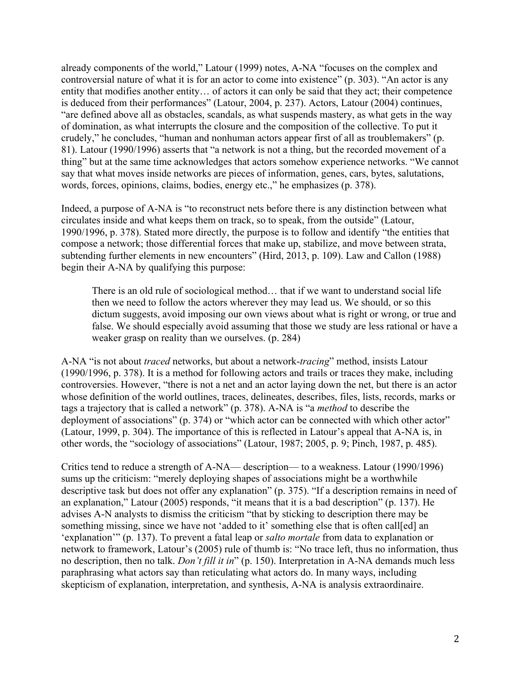already components of the world," Latour (1999) notes, A-NA "focuses on the complex and controversial nature of what it is for an actor to come into existence" (p. 303). "An actor is any entity that modifies another entity… of actors it can only be said that they act; their competence is deduced from their performances" (Latour, 2004, p. 237). Actors, Latour (2004) continues, "are defined above all as obstacles, scandals, as what suspends mastery, as what gets in the way of domination, as what interrupts the closure and the composition of the collective. To put it crudely," he concludes, "human and nonhuman actors appear first of all as troublemakers" (p. 81). Latour (1990/1996) asserts that "a network is not a thing, but the recorded movement of a thing" but at the same time acknowledges that actors somehow experience networks. "We cannot say that what moves inside networks are pieces of information, genes, cars, bytes, salutations, words, forces, opinions, claims, bodies, energy etc.," he emphasizes (p. 378).

Indeed, a purpose of A-NA is "to reconstruct nets before there is any distinction between what circulates inside and what keeps them on track, so to speak, from the outside" (Latour, 1990/1996, p. 378). Stated more directly, the purpose is to follow and identify "the entities that compose a network; those differential forces that make up, stabilize, and move between strata, subtending further elements in new encounters" (Hird, 2013, p. 109). Law and Callon (1988) begin their A-NA by qualifying this purpose:

There is an old rule of sociological method… that if we want to understand social life then we need to follow the actors wherever they may lead us. We should, or so this dictum suggests, avoid imposing our own views about what is right or wrong, or true and false. We should especially avoid assuming that those we study are less rational or have a weaker grasp on reality than we ourselves. (p. 284)

A-NA "is not about *traced* networks, but about a network-*tracing*" method, insists Latour (1990/1996, p. 378). It is a method for following actors and trails or traces they make, including controversies. However, "there is not a net and an actor laying down the net, but there is an actor whose definition of the world outlines, traces, delineates, describes, files, lists, records, marks or tags a trajectory that is called a network" (p. 378). A-NA is "a *method* to describe the deployment of associations" (p. 374) or "which actor can be connected with which other actor" (Latour, 1999, p. 304). The importance of this is reflected in Latour's appeal that A-NA is, in other words, the "sociology of associations" (Latour, 1987; 2005, p. 9; Pinch, 1987, p. 485).

Critics tend to reduce a strength of A-NA— description— to a weakness. Latour (1990/1996) sums up the criticism: "merely deploying shapes of associations might be a worthwhile descriptive task but does not offer any explanation" (p. 375). "If a description remains in need of an explanation," Latour (2005) responds, "it means that it is a bad description" (p. 137). He advises A-N analysts to dismiss the criticism "that by sticking to description there may be something missing, since we have not 'added to it' something else that is often call[ed] an 'explanation'" (p. 137). To prevent a fatal leap or *salto mortale* from data to explanation or network to framework, Latour's (2005) rule of thumb is: "No trace left, thus no information, thus no description, then no talk. *Don't fill it in*" (p. 150). Interpretation in A-NA demands much less paraphrasing what actors say than reticulating what actors do. In many ways, including skepticism of explanation, interpretation, and synthesis, A-NA is analysis extraordinaire.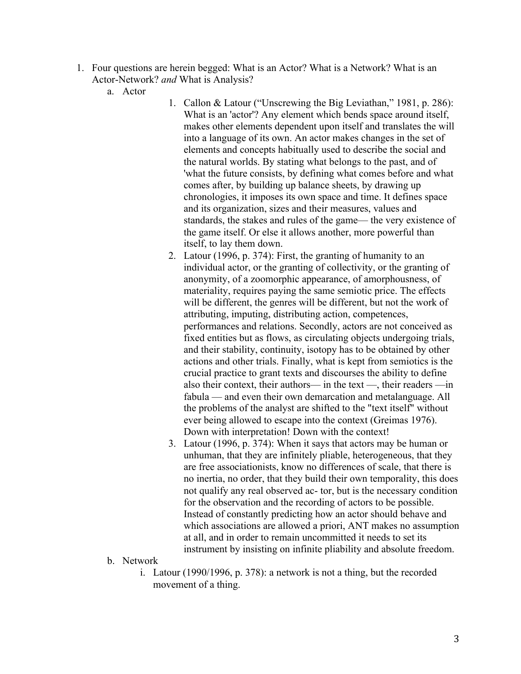- 1. Four questions are herein begged: What is an Actor? What is a Network? What is an Actor-Network? *and* What is Analysis?
	- a. Actor
- 1. Callon & Latour ("Unscrewing the Big Leviathan," 1981, p. 286): What is an 'actor'? Any element which bends space around itself, makes other elements dependent upon itself and translates the will into a language of its own. An actor makes changes in the set of elements and concepts habitually used to describe the social and the natural worlds. By stating what belongs to the past, and of 'what the future consists, by defining what comes before and what comes after, by building up balance sheets, by drawing up chronologies, it imposes its own space and time. It defines space and its organization, sizes and their measures, values and standards, the stakes and rules of the game— the very existence of the game itself. Or else it allows another, more powerful than itself, to lay them down.
- 2. Latour (1996, p. 374): First, the granting of humanity to an individual actor, or the granting of collectivity, or the granting of anonymity, of a zoomorphic appearance, of amorphousness, of materiality, requires paying the same semiotic price. The effects will be different, the genres will be different, but not the work of attributing, imputing, distributing action, competences, performances and relations. Secondly, actors are not conceived as fixed entities but as flows, as circulating objects undergoing trials, and their stability, continuity, isotopy has to be obtained by other actions and other trials. Finally, what is kept from semiotics is the crucial practice to grant texts and discourses the ability to define also their context, their authors— in the text —, their readers —in fabula — and even their own demarcation and metalanguage. All the problems of the analyst are shifted to the "text itself" without ever being allowed to escape into the context (Greimas 1976). Down with interpretation! Down with the context!
- 3. Latour (1996, p. 374): When it says that actors may be human or unhuman, that they are infinitely pliable, heterogeneous, that they are free associationists, know no differences of scale, that there is no inertia, no order, that they build their own temporality, this does not qualify any real observed ac- tor, but is the necessary condition for the observation and the recording of actors to be possible. Instead of constantly predicting how an actor should behave and which associations are allowed a priori, ANT makes no assumption at all, and in order to remain uncommitted it needs to set its instrument by insisting on infinite pliability and absolute freedom.
- b. Network
	- i. Latour (1990/1996, p. 378): a network is not a thing, but the recorded movement of a thing.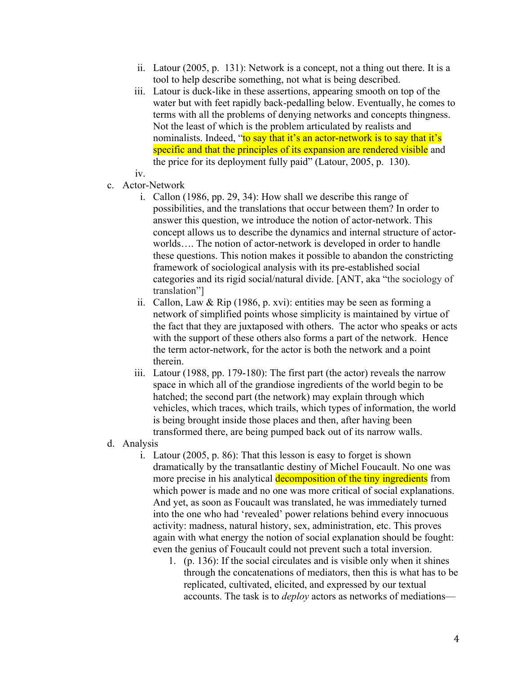- ii. Latour (2005, p. 131): Network is a concept, not a thing out there. It is a tool to help describe something, not what is being described.
- iii. Latour is duck-like in these assertions, appearing smooth on top of the water but with feet rapidly back-pedalling below. Eventually, he comes to terms with all the problems of denying networks and concepts thingness. Not the least of which is the problem articulated by realists and nominalists. Indeed, "to say that it's an actor-network is to say that it's specific and that the principles of its expansion are rendered visible and the price for its deployment fully paid" (Latour, 2005, p. 130).
- iv.
- c. Actor-Network
	- i. Callon (1986, pp. 29, 34): How shall we describe this range of possibilities, and the translations that occur between them? In order to answer this question, we introduce the notion of actor-network. This concept allows us to describe the dynamics and internal structure of actorworlds…. The notion of actor-network is developed in order to handle these questions. This notion makes it possible to abandon the constricting framework of sociological analysis with its pre-established social categories and its rigid social/natural divide. [ANT, aka "the sociology of translation"]
	- ii. Callon, Law & Rip (1986, p. xvi): entities may be seen as forming a network of simplified points whose simplicity is maintained by virtue of the fact that they are juxtaposed with others. The actor who speaks or acts with the support of these others also forms a part of the network. Hence the term actor-network, for the actor is both the network and a point therein.
	- iii. Latour (1988, pp. 179-180): The first part (the actor) reveals the narrow space in which all of the grandiose ingredients of the world begin to be hatched; the second part (the network) may explain through which vehicles, which traces, which trails, which types of information, the world is being brought inside those places and then, after having been transformed there, are being pumped back out of its narrow walls.
- d. Analysis
	- i. Latour (2005, p. 86): That this lesson is easy to forget is shown dramatically by the transatlantic destiny of Michel Foucault. No one was more precise in his analytical decomposition of the tiny ingredients from which power is made and no one was more critical of social explanations. And yet, as soon as Foucault was translated, he was immediately turned into the one who had 'revealed' power relations behind every innocuous activity: madness, natural history, sex, administration, etc. This proves again with what energy the notion of social explanation should be fought: even the genius of Foucault could not prevent such a total inversion.
		- 1. (p. 136): If the social circulates and is visible only when it shines through the concatenations of mediators, then this is what has to be replicated, cultivated, elicited, and expressed by our textual accounts. The task is to *deploy* actors as networks of mediations—